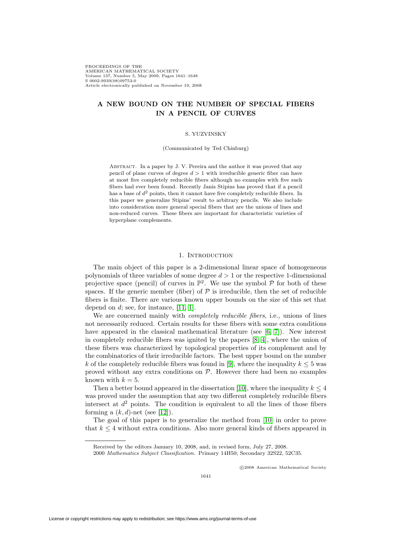PROCEEDINGS OF THE AMERICAN MATHEMATICAL SOCIETY Volume 137, Number 5, May 2009, Pages 1641–1648 S 0002-9939(08)09753-0 Article electronically published on November 19, 2008

# **A NEW BOUND ON THE NUMBER OF SPECIAL FIBERS IN A PENCIL OF CURVES**

#### S. YUZVINSKY

#### (Communicated by Ted Chinburg)

Abstract. In a paper by J. V. Pereira and the author it was proved that any pencil of plane curves of degree  $d > 1$  with irreducible generic fiber can have at most five completely reducible fibers although no examples with five such fibers had ever been found. Recently Janis Stipins has proved that if a pencil has a base of  $d^2$  points, then it cannot have five completely reducible fibers. In this paper we generalize Stipins' result to arbitrary pencils. We also include into consideration more general special fibers that are the unions of lines and non-reduced curves. These fibers are important for characteristic varieties of hyperplane complements.

#### 1. INTRODUCTION

The main object of this paper is a 2-dimensional linear space of homogeneous polynomials of three variables of some degree  $d > 1$  or the respective 1-dimensional projective space (pencil) of curves in  $\mathbb{P}^2$ . We use the symbol  $\mathcal P$  for both of these spaces. If the generic member (fiber) of  $P$  is irreducible, then the set of reducible fibers is finite. There are various known upper bounds on the size of this set that depend on  $d$ ; see, for instance, [\[11,](#page-7-0) [1\]](#page-6-0).

We are concerned mainly with *completely reducible fibers*, i.e., unions of lines not necessarily reduced. Certain results for these fibers with some extra conditions have appeared in the classical mathematical literature (see  $[6, 7]$  $[6, 7]$ ). New interest in completely reducible fibers was ignited by the papers [\[8,](#page-6-3) [4\]](#page-6-4), where the union of these fibers was characterized by topological properties of its complement and by the combinatorics of their irreducible factors. The best upper bound on the number k of the completely reducible fibers was found in [\[9\]](#page-6-5), where the inequality  $k \leq 5$  was proved without any extra conditions on  $P$ . However there had been no examples known with  $k = 5$ .

Then a better bound appeared in the dissertation [\[10\]](#page-6-6), where the inequality  $k \leq 4$ was proved under the assumption that any two different completely reducible fibers intersect at  $d^2$  points. The condition is equivalent to all the lines of those fibers forming a  $(k, d)$ -net (see [\[12\]](#page-7-1)).

The goal of this paper is to generalize the method from [\[10\]](#page-6-6) in order to prove that  $k \leq 4$  without extra conditions. Also more general kinds of fibers appeared in

c 2008 American Mathematical Society

Received by the editors January 10, 2008, and, in revised form, July 27, 2008.

<sup>2000</sup> Mathematics Subject Classification. Primary 14H50; Secondary 32S22, 52C35.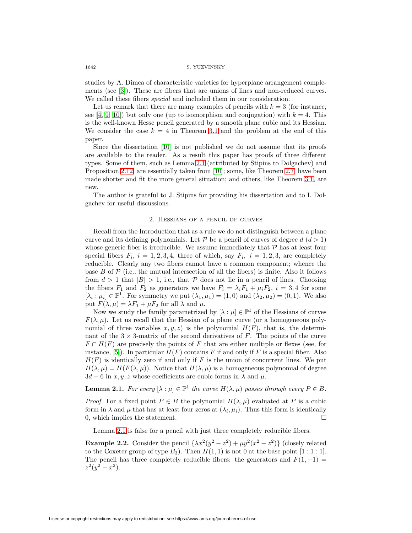studies by A. Dimca of characteristic varieties for hyperplane arrangement complements (see [\[3\]](#page-6-7)). These are fibers that are unions of lines and non-reduced curves. We called these fibers *special* and included them in our consideration.

Let us remark that there are many examples of pencils with  $k = 3$  (for instance, see [\[4,](#page-6-4) [9,](#page-6-5) [10\]](#page-6-6)) but only one (up to isomorphism and conjugation) with  $k = 4$ . This is the well-known Hesse pencil generated by a smooth plane cubic and its Hessian. We consider the case  $k = 4$  in Theorem [3.1](#page-5-0) and the problem at the end of this paper.

Since the dissertation [\[10\]](#page-6-6) is not published we do not assume that its proofs are available to the reader. As a result this paper has proofs of three different types. Some of them, such as Lemma [2.1](#page-1-0) (attributed by Stipins to Dolgachev) and Proposition [2.12,](#page-4-0) are essentially taken from [\[10\]](#page-6-6); some, like Theorem [2.7,](#page-2-0) have been made shorter and fit the more general situation; and others, like Theorem [3.1,](#page-5-0) are new.

The author is grateful to J. Stipins for providing his dissertation and to I. Dolgachev for useful discussions.

#### 2. Hessians of a pencil of curves

Recall from the Introduction that as a rule we do not distinguish between a plane curve and its defining polynomials. Let P be a pencil of curves of degree  $d(d > 1)$ whose generic fiber is irreducible. We assume immediately that  $P$  has at least four special fibers  $F_i$ ,  $i = 1, 2, 3, 4$ , three of which, say  $F_i$ ,  $i = 1, 2, 3$ , are completely reducible. Clearly any two fibers cannot have a common component; whence the base  $B$  of  $\mathcal P$  (i.e., the mutual intersection of all the fibers) is finite. Also it follows from  $d > 1$  that  $|B| > 1$ , i.e., that P does not lie in a pencil of lines. Choosing the fibers  $F_1$  and  $F_2$  as generators we have  $F_i = \lambda_i F_1 + \mu_i F_2$ ,  $i = 3, 4$  for some  $[\lambda_i : \mu_i] \in \mathbb{P}^1$ . For symmetry we put  $(\lambda_1, \mu_1) = (1, 0)$  and  $(\lambda_2, \mu_2) = (0, 1)$ . We also put  $F(\lambda, \mu) = \lambda F_1 + \mu F_2$  for all  $\lambda$  and  $\mu$ .

Now we study the family parametrized by  $[\lambda : \mu] \in \mathbb{P}^1$  of the Hessians of curves  $F(\lambda,\mu)$ . Let us recall that the Hessian of a plane curve (or a homogeneous polynomial of three variables  $x, y, z$  is the polynomial  $H(F)$ , that is, the determinant of the  $3 \times 3$ -matrix of the second derivatives of F. The points of the curve  $F \cap H(F)$  are precisely the points of F that are either multiple or flexes (see, for instance, [\[5\]](#page-6-8)). In particular  $H(F)$  contains F if and only if F is a special fiber. Also  $H(F)$  is identically zero if and only if F is the union of concurrent lines. We put  $H(\lambda,\mu) = H(F(\lambda,\mu))$ . Notice that  $H(\lambda,\mu)$  is a homogeneous polynomial of degree  $3d-6$  in x, y, z whose coefficients are cubic forms in  $\lambda$  and  $\mu$ .

<span id="page-1-0"></span>**Lemma 2.1.** For every  $[\lambda : \mu] \in \mathbb{P}^1$  the curve  $H(\lambda, \mu)$  passes through every  $P \in B$ .

*Proof.* For a fixed point  $P \in B$  the polynomial  $H(\lambda, \mu)$  evaluated at P is a cubic form in  $\lambda$  and  $\mu$  that has at least four zeros at  $(\lambda_i, \mu_i)$ . Thus this form is identically 0, which implies the statement.  $\Box$ 

Lemma [2.1](#page-1-0) is false for a pencil with just three completely reducible fibers.

**Example 2.2.** Consider the pencil  $\{\lambda x^2(y^2 - z^2) + \mu y^2(x^2 - z^2)\}\)$  (closely related to the Coxeter group of type  $B_3$ ). Then  $H(1, 1)$  is not 0 at the base point  $[1 : 1 : 1]$ . The pencil has three completely reducible fibers: the generators and  $F(1, -1) =$  $z^2(y^2-x^2)$ .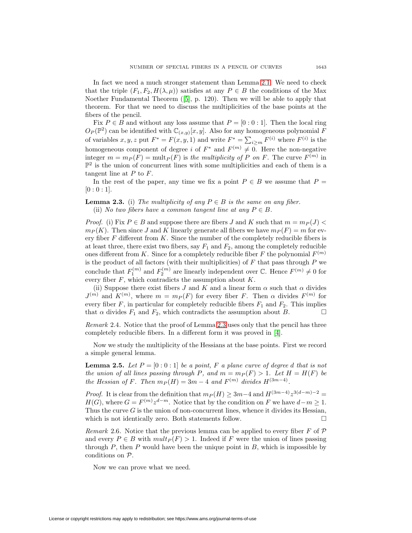In fact we need a much stronger statement than Lemma [2.1.](#page-1-0) We need to check that the triple  $(F_1, F_2, H(\lambda, \mu))$  satisfies at any  $P \in B$  the conditions of the Max Noether Fundamental Theorem ([\[5\]](#page-6-8), p. 120). Then we will be able to apply that theorem. For that we need to discuss the multiplicities of the base points at the fibers of the pencil.

Fix  $P \in B$  and without any loss assume that  $P = [0:0:1]$ . Then the local ring  $O_P(\mathbb{P}^2)$  can be identified with  $\mathbb{C}_{(x,y)}[x,y]$ . Also for any homogeneous polynomial F of variables  $x, y, z$  put  $F^* = F(x, y, 1)$  and write  $F^* = \sum_{i \ge m} F^{(i)}$  where  $F^{(i)}$  is the homogeneous component of degree i of  $F^*$  and  $F^{(m)} \neq 0$ . Here the non-negative integer  $m = m_P(F) = \text{mult}_P(F)$  is the multiplicity of P on F. The curve  $F^{(m)}$  in  $\mathbb{P}^2$  is the union of concurrent lines with some multiplicities and each of them is a tangent line at  $P$  to  $F$ .

<span id="page-2-1"></span>In the rest of the paper, any time we fix a point  $P \in B$  we assume that  $P =$  $[0:0:1]$ .

**Lemma 2.3.** (i) The multiplicity of any  $P \in B$  is the same on any fiber. (ii) No two fibers have a common tangent line at any  $P \in B$ .

*Proof.* (i) Fix  $P \in B$  and suppose there are fibers J and K such that  $m = m_P(J)$  $m_P (K)$ . Then since J and K linearly generate all fibers we have  $m_P (F) = m$  for every fiber  $F$  different from  $K$ . Since the number of the completely reducible fibers is at least three, there exist two fibers, say  $F_1$  and  $F_2$ , among the completely reducible ones different from K. Since for a completely reducible fiber F the polynomial  $F^{(m)}$ is the product of all factors (with their multiplicities) of  $F$  that pass through  $P$  we conclude that  $F_1^{(m)}$  and  $F_2^{(m)}$  are linearly independent over  $\mathbb{C}$ . Hence  $F^{(m)} \neq 0$  for every fiber  $F$ , which contradicts the assumption about  $K$ .

(ii) Suppose there exist fibers J and K and a linear form  $\alpha$  such that  $\alpha$  divides  $J^{(m)}$  and  $K^{(m)}$ , where  $m = m_P(F)$  for every fiber F. Then  $\alpha$  divides  $F^{(m)}$  for every fiber  $F$ , in particular for completely reducible fibers  $F_1$  and  $F_2$ . This implies that  $\alpha$  divides  $F_1$  and  $F_2$ , which contradicts the assumption about  $B$ .

Remark 2.4. Notice that the proof of Lemma [2.3](#page-2-1) uses only that the pencil has three completely reducible fibers. In a different form it was proved in [\[4\]](#page-6-4).

<span id="page-2-2"></span>Now we study the multiplicity of the Hessians at the base points. First we record a simple general lemma.

**Lemma 2.5.** Let  $P = [0:0:1]$  be a point, F a plane curve of degree d that is not the union of all lines passing through P, and  $m = m_P(F) > 1$ . Let  $H = H(F)$  be the Hessian of F. Then  $m_P(H)=3m-4$  and  $F^{(m)}$  divides  $H^{(3m-4)}$ .

*Proof.* It is clear from the definition that  $m_P (H) \geq 3m-4$  and  $H^{(3m-4)}z^{3(d-m)-2}$  $H(G)$ , where  $G = F^{(m)} z^{d-m}$ . Notice that by the condition on F we have  $d-m \geq 1$ . Thus the curve  $G$  is the union of non-concurrent lines, whence it divides its Hessian, which is not identically zero. Both statements follow.  $\square$ 

Remark 2.6. Notice that the previous lemma can be applied to every fiber F of  $\mathcal P$ and every  $P \in B$  with  $mult_P(F) > 1$ . Indeed if F were the union of lines passing through  $P$ , then  $P$  would have been the unique point in  $B$ , which is impossible by conditions on P.

<span id="page-2-0"></span>Now we can prove what we need.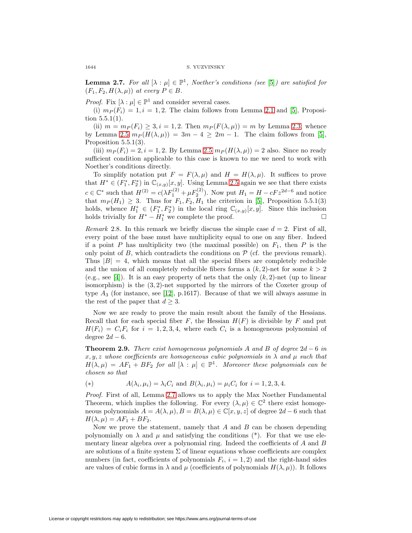**Lemma 2.7.** For all  $[\lambda : \mu] \in \mathbb{P}^1$ , Noether's conditions (see [\[5\]](#page-6-8)) are satisfied for  $(F_1, F_2, H(\lambda, \mu))$  at every  $P \in B$ .

*Proof.* Fix  $[\lambda : \mu] \in \mathbb{P}^1$  and consider several cases.

(i)  $m_P(F_i)=1, i = 1, 2$ . The claim follows from Lemma [2.1](#page-1-0) and [\[5\]](#page-6-8), Proposition  $5.5.1(1)$ .

(ii)  $m = m_P(F_i) \geq 3, i = 1, 2$ . Then  $m_P(F(\lambda, \mu)) = m$  by Lemma [2.3;](#page-2-1) whence by Lemma [2.5](#page-2-2)  $m_P(H(\lambda,\mu)) = 3m - 4 \geq 2m - 1$ . The claim follows from [\[5\]](#page-6-8), Proposition 5.5.1(3).

(iii)  $m_P(F_i)=2, i = 1, 2$ . By Lemma [2.5](#page-2-2)  $m_P(H(\lambda,\mu)) = 2$  also. Since no ready sufficient condition applicable to this case is known to me we need to work with Noether's conditions directly.

To simplify notation put  $F = F(\lambda, \mu)$  and  $H = H(\lambda, \mu)$ . It suffices to prove that  $H^* \in (F_1^*, F_2^*)$  in  $\mathbb{C}_{(x,y)}[x, y]$ . Using Lemma [2.5](#page-2-2) again we see that there exists  $c \in \mathbb{C}^*$  such that  $H^{(2)} = c(\lambda F_1^{(2)} + \mu F_2^{(2)})$ . Now put  $H_1 = H - cFz^{2d-6}$  and notice that  $m_P(H_1) \geq 3$ . Thus for  $F_1, F_2, H_1$  the criterion in [\[5\]](#page-6-8), Proposition 5.5.1(3) holds, whence  $H_1^* \in (F_1^*, F_2^*)$  in the local ring  $\mathbb{C}_{(x,y)}[x,y]$ . Since this inclusion holds trivially for  $H^* - H_1^*$  we complete the proof.  $\Box$ 

Remark 2.8. In this remark we briefly discuss the simple case  $d = 2$ . First of all, every point of the base must have multiplicity equal to one on any fiber. Indeed if a point P has multiplicity two (the maximal possible) on  $F_1$ , then P is the only point of B, which contradicts the conditions on  $P$  (cf. the previous remark). Thus  $|B| = 4$ , which means that all the special fibers are completely reducible and the union of all completely reducible fibers forms a  $(k, 2)$ -net for some  $k > 2$ (e.g., see [\[4\]](#page-6-4)). It is an easy property of nets that the only  $(k, 2)$ -net (up to linear isomorphism) is the  $(3, 2)$ -net supported by the mirrors of the Coxeter group of type  $A_3$  (for instance, see [\[12\]](#page-7-1), p.1617). Because of that we will always assume in the rest of the paper that  $d \geq 3$ .

Now we are ready to prove the main result about the family of the Hessians. Recall that for each special fiber  $F$ , the Hessian  $H(F)$  is divisible by F and put  $H(F_i) = C_i F_i$  for  $i = 1, 2, 3, 4$ , where each  $C_i$  is a homogeneous polynomial of degree  $2d - 6$ .

<span id="page-3-1"></span>**Theorem 2.9.** There exist homogeneous polynomials A and B of degree  $2d - 6$  in  $x, y, z$  whose coefficients are homogeneous cubic polynomials in  $\lambda$  and  $\mu$  such that  $H(\lambda,\mu) = AF_1 + BF_2$  for all  $[\lambda : \mu] \in \mathbb{P}^1$ . Moreover these polynomials can be chosen so that

<span id="page-3-0"></span>(\*) 
$$
A(\lambda_i, \mu_i) = \lambda_i C_i \text{ and } B(\lambda_i, \mu_i) = \mu_i C_i \text{ for } i = 1, 2, 3, 4.
$$

Proof. First of all, Lemma [2.7](#page-2-0) allows us to apply the Max Noether Fundamental Theorem, which implies the following. For every  $(\lambda, \mu) \in \mathbb{C}^2$  there exist homogeneous polynomials  $A = A(\lambda, \mu), B = B(\lambda, \mu) \in \mathbb{C}[x, y, z]$  of degree  $2d - 6$  such that  $H(\lambda,\mu) = AF_1 + BF_2.$ 

Now we prove the statement, namely that  $A$  and  $B$  can be chosen depending polynomially on  $\lambda$  and  $\mu$  and satisfying the conditions (\*). For that we use elementary linear algebra over a polynomial ring. Indeed the coefficients of  $A$  and  $B$ are solutions of a finite system  $\Sigma$  of linear equations whose coefficients are complex numbers (in fact, coefficients of polynomials  $F_i$ ,  $i = 1, 2$ ) and the right-hand sides are values of cubic forms in  $\lambda$  and  $\mu$  (coefficients of polynomials  $H(\lambda,\mu)$ ). It follows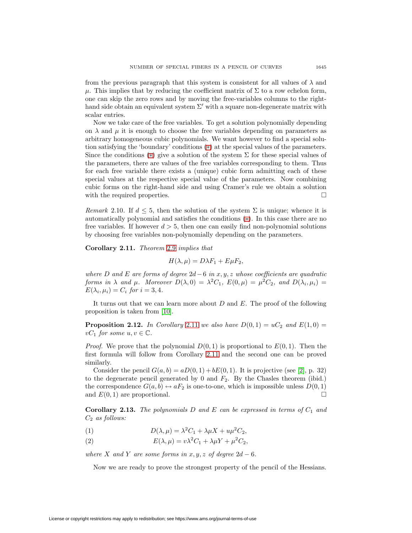from the previous paragraph that this system is consistent for all values of  $\lambda$  and  $\mu$ . This implies that by reducing the coefficient matrix of  $\Sigma$  to a row echelon form, one can skip the zero rows and by moving the free-variables columns to the righthand side obtain an equivalent system  $\Sigma'$  with a square non-degenerate matrix with scalar entries.

Now we take care of the free variables. To get a solution polynomially depending on  $\lambda$  and  $\mu$  it is enough to choose the free variables depending on parameters as arbitrary homogeneous cubic polynomials. We want however to find a special solution satisfying the 'boundary' conditions ([∗](#page-3-0)) at the special values of the parameters. Since the conditions (\*) give a solution of the system  $\Sigma$  for these special values of the parameters, there are values of the free variables corresponding to them. Thus for each free variable there exists a (unique) cubic form admitting each of these special values at the respective special value of the parameters. Now combining cubic forms on the right-hand side and using Cramer's rule we obtain a solution with the required properties.

Remark 2.10. If  $d \leq 5$ , then the solution of the system  $\Sigma$  is unique; whence it is automatically polynomial and satisfies the conditions ([∗](#page-3-0)). In this case there are no free variables. If however  $d > 5$ , then one can easily find non-polynomial solutions by choosing free variables non-polynomially depending on the parameters.

<span id="page-4-1"></span>**Corollary 2.11.** Theorem [2.9](#page-3-1) implies that

$$
H(\lambda, \mu) = D\lambda F_1 + E\mu F_2,
$$

where D and E are forms of degree  $2d-6$  in x, y, z whose coefficients are quadratic forms in  $\lambda$  and  $\mu$ . Moreover  $D(\lambda, 0) = \lambda^2 C_1$ ,  $E(0, \mu) = \mu^2 C_2$ , and  $D(\lambda_i, \mu_i) =$  $E(\lambda_i, \mu_i) = C_i$  for  $i = 3, 4$ .

<span id="page-4-0"></span>It turns out that we can learn more about  $D$  and  $E$ . The proof of the following proposition is taken from [\[10\]](#page-6-6).

**Proposition 2.12.** In Corollary [2.11](#page-4-1) we also have  $D(0, 1) = uC_2$  and  $E(1, 0) =$  $vC_1$  for some  $u, v \in \mathbb{C}$ .

*Proof.* We prove that the polynomial  $D(0, 1)$  is proportional to  $E(0, 1)$ . Then the first formula will follow from Corollary [2.11](#page-4-1) and the second one can be proved similarly.

Consider the pencil  $G(a, b) = aD(0, 1) + bE(0, 1)$ . It is projective (see [\[2\]](#page-6-9), p. 32) to the degenerate pencil generated by 0 and  $F_2$ . By the Chasles theorem (ibid.) the correspondence  $G(a, b) \leftrightarrow aF_2$  is one-to-one, which is impossible unless  $D(0, 1)$ and  $E(0, 1)$  are proportional.

<span id="page-4-2"></span>**Corollary 2.13.** The polynomials D and E can be expressed in terms of  $C_1$  and  $C_2$  as follows:

(1) 
$$
D(\lambda, \mu) = \lambda^2 C_1 + \lambda \mu X + u \mu^2 C_2,
$$

(2) 
$$
E(\lambda, \mu) = v\lambda^2 C_1 + \lambda \mu Y + \mu^2 C_2,
$$

<span id="page-4-3"></span>where X and Y are some forms in  $x, y, z$  of degree  $2d - 6$ .

Now we are ready to prove the strongest property of the pencil of the Hessians.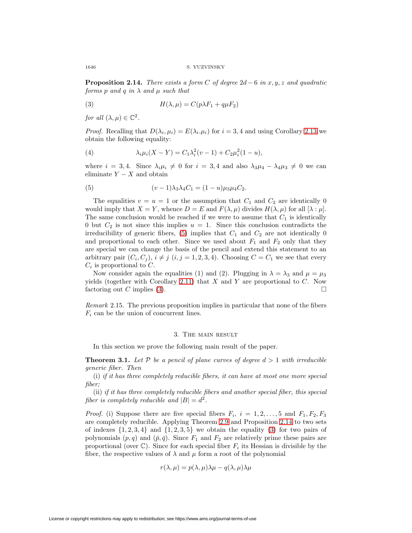**Proposition 2.14.** There exists a form C of degree  $2d - 6$  in x, y, z and quadratic forms p and q in  $\lambda$  and  $\mu$  such that

<span id="page-5-2"></span>(3) 
$$
H(\lambda, \mu) = C(p\lambda F_1 + q\mu F_2)
$$

for all  $(\lambda, \mu) \in \mathbb{C}^2$ .

*Proof.* Recalling that  $D(\lambda_i, \mu_i) = E(\lambda_i, \mu_i)$  for  $i = 3, 4$  and using Corollary [2.13](#page-4-2) we obtain the following equality:

(4) 
$$
\lambda_i \mu_i (X - Y) = C_1 \lambda_i^2 (v - 1) + C_2 \mu_i^2 (1 - u),
$$

where  $i = 3, 4$ . Since  $\lambda_i \mu_i \neq 0$  for  $i = 3, 4$  and also  $\lambda_3 \mu_4 - \lambda_4 \mu_3 \neq 0$  we can eliminate  $Y - X$  and obtain

<span id="page-5-1"></span>(5) 
$$
(v-1)\lambda_3\lambda_4C_1 = (1-u)\mu_3\mu_4C_2.
$$

The equalities  $v = u = 1$  or the assumption that  $C_1$  and  $C_2$  are identically 0 would imply that  $X = Y$ , whence  $D = E$  and  $F(\lambda, \mu)$  divides  $H(\lambda, \mu)$  for all  $[\lambda : \mu]$ . The same conclusion would be reached if we were to assume that  $C_1$  is identically 0 but  $C_2$  is not since this implies  $u = 1$ . Since this conclusion contradicts the irreducibility of generic fibers,  $(5)$  implies that  $C_1$  and  $C_2$  are not identically 0 and proportional to each other. Since we used about  $F_1$  and  $F_2$  only that they are special we can change the basis of the pencil and extend this statement to an arbitrary pair  $(C_i, C_j)$ ,  $i \neq j$   $(i, j = 1, 2, 3, 4)$ . Choosing  $C = C_1$  we see that every  $C_i$  is proportional to  $C$ .

Now consider again the equalities (1) and (2). Plugging in  $\lambda = \lambda_3$  and  $\mu = \mu_3$ yields (together with Corollary [2.11\)](#page-4-1) that  $X$  and  $Y$  are proportional to  $C$ . Now factoring out C implies [\(3\)](#page-5-2).

Remark 2.15. The previous proposition implies in particular that none of the fibers  $F_i$  can be the union of concurrent lines.

### 3. The main result

In this section we prove the following main result of the paper.

<span id="page-5-0"></span>**Theorem 3.1.** Let  $P$  be a pencil of plane curves of degree  $d > 1$  with irreducible generic fiber. Then

(i) if it has three completely reducible fibers, it can have at most one more special fiber;

(ii) if it has three completely reducible fibers and another special fiber, this special fiber is completely reducible and  $|B| = d^2$ .

*Proof.* (i) Suppose there are five special fibers  $F_i$ ,  $i = 1, 2, ..., 5$  and  $F_1, F_2, F_3$ are completely reducible. Applying Theorem [2.9](#page-3-1) and Proposition [2.14](#page-4-3) to two sets of indexes  $\{1, 2, 3, 4\}$  and  $\{1, 2, 3, 5\}$  we obtain the equality [\(3\)](#page-5-2) for two pairs of polynomials  $(p,q)$  and  $(\bar{p},\bar{q})$ . Since  $F_1$  and  $F_2$  are relatively prime these pairs are proportional (over  $\mathbb{C}$ ). Since for each special fiber  $F_i$  its Hessian is divisible by the fiber, the respective values of  $\lambda$  and  $\mu$  form a root of the polynomial

$$
r(\lambda, \mu) = p(\lambda, \mu)\lambda\mu - q(\lambda, \mu)\lambda\mu
$$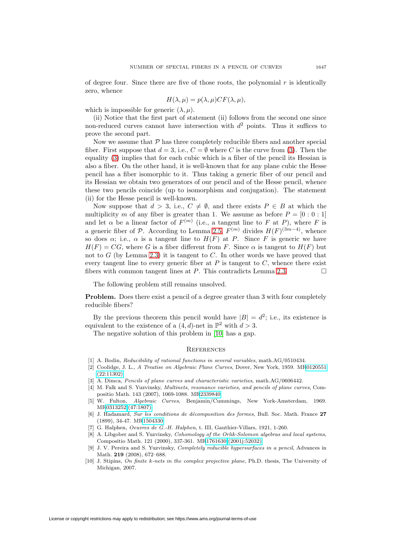of degree four. Since there are five of those roots, the polynomial  $r$  is identically zero, whence

$$
H(\lambda, \mu) = p(\lambda, \mu) CF(\lambda, \mu),
$$

which is impossible for generic  $(\lambda, \mu)$ .

(ii) Notice that the first part of statement (ii) follows from the second one since non-reduced curves cannot have intersection with  $d^2$  points. Thus it suffices to prove the second part.

Now we assume that  $P$  has three completely reducible fibers and another special fiber. First suppose that  $d = 3$ , i.e.,  $C = \emptyset$  where C is the curve from [\(3\)](#page-5-2). Then the equality [\(3\)](#page-5-2) implies that for each cubic which is a fiber of the pencil its Hessian is also a fiber. On the other hand, it is well-known that for any plane cubic the Hesse pencil has a fiber isomorphic to it. Thus taking a generic fiber of our pencil and its Hessian we obtain two generators of our pencil and of the Hesse pencil, whence these two pencils coincide (up to isomorphism and conjugation). The statement (ii) for the Hesse pencil is well-known.

Now suppose that  $d > 3$ , i.e.,  $C \neq \emptyset$ , and there exists  $P \in B$  at which the multiplicity m of any fiber is greater than 1. We assume as before  $P = [0:0:1]$ and let  $\alpha$  be a linear factor of  $F^{(m)}$  (i.e., a tangent line to F at P), where F is a generic fiber of P. According to Lemma [2.5,](#page-2-2)  $F^{(m)}$  divides  $H(F)^{(3m-4)}$ , whence so does  $\alpha$ ; i.e.,  $\alpha$  is a tangent line to  $H(F)$  at P. Since F is generic we have  $H(F) = CG$ , where G is a fiber different from F. Since  $\alpha$  is tangent to  $H(F)$  but not to  $G$  (by Lemma [2.3\)](#page-2-1) it is tangent to  $C$ . In other words we have proved that every tangent line to every generic fiber at  $P$  is tangent to  $C$ , whence there exist fibers with common tangent lines at P. This contradicts Lemma [2.3.](#page-2-1)

The following problem still remains unsolved.

**Problem.** Does there exist a pencil of a degree greater than 3 with four completely reducible fibers?

By the previous theorem this pencil would have  $|B| = d^2$ ; i.e., its existence is equivalent to the existence of a  $(4, d)$ -net in  $\mathbb{P}^2$  with  $d > 3$ .

The negative solution of this problem in [\[10\]](#page-6-6) has a gap.

#### **REFERENCES**

- <span id="page-6-9"></span><span id="page-6-0"></span>[1] A. Bodin, Reducibility of rational functions in several variables, math.AG/0510434.
- [2] Coolidge, J. L., A Treatise on Algebraic Plane Curves, Dover, New York, 1959. M[R0120551](http://www.ams.org/mathscinet-getitem?mr=0120551) [\(22:11302\)](http://www.ams.org/mathscinet-getitem?mr=0120551)
- <span id="page-6-7"></span><span id="page-6-4"></span>[3] A. Dimca, Pencils of plane curves and characteristic varieties, math.AG/0606442.
- [4] M. Falk and S. Yuzvinsky, Multinets, resonance varieties, and pencils of plane curves, Compositio Math. 143 (2007), 1069-1088. M[R2339840](http://www.ams.org/mathscinet-getitem?mr=2339840)
- <span id="page-6-8"></span>[5] W. Fulton, Algebraic Curves, Benjamin/Cummings, New York-Amsterdam, 1969. M[R0313252 \(47:1807\)](http://www.ams.org/mathscinet-getitem?mr=0313252)
- <span id="page-6-1"></span>[6] J. Hadamard, Sur les conditions de d´ecomposition des formes, Bull. Soc. Math. France **27** (1899), 34-47. M[R1504330](http://www.ams.org/mathscinet-getitem?mr=1504330)
- <span id="page-6-2"></span>[7] G. Halphen, Oeuvres de G.-H. Halphen, t. III, Gauthier-Villars, 1921, 1-260.
- <span id="page-6-3"></span>[8] A. Libgober and S. Yuzvinsky, Cohomology of the Orlik-Solomon algebras and local systems, Compositio Math. 121 (2000), 337-361. M[R1761630 \(2001j:52032\)](http://www.ams.org/mathscinet-getitem?mr=1761630)
- <span id="page-6-5"></span>[9] J. V. Pereira and S. Yuzvinsky, Completely reducible hypersurfaces in a pencil, Advances in Math. **219** (2008), 672–688.
- <span id="page-6-6"></span>[10] J. Stipins, On finite k-nets in the complex projective plane, Ph.D. thesis, The University of Michigan, 2007.